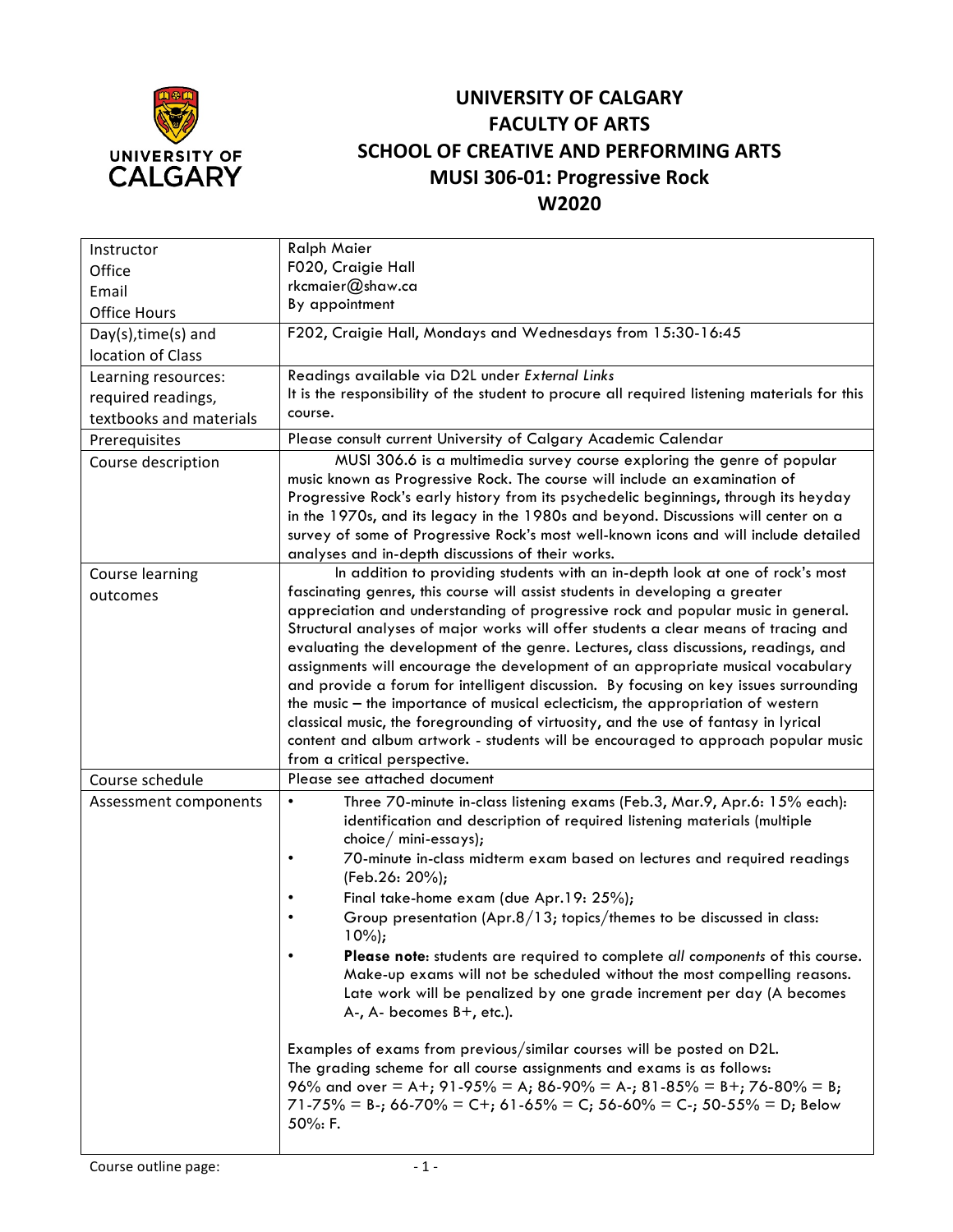

## **UNIVERSITY OF CALGARY FACULTY OF ARTS SCHOOL OF CREATIVE AND PERFORMING ARTS MUSI 306-01: Progressive Rock W2020**

| <b>Ralph Maier</b>                                                                                                                                                                                                                                                                                                                                                                                                                                                                                                                                                                                                                                                                                                                                                                                                                                                                                                                                                                                                                                               |  |  |  |  |  |
|------------------------------------------------------------------------------------------------------------------------------------------------------------------------------------------------------------------------------------------------------------------------------------------------------------------------------------------------------------------------------------------------------------------------------------------------------------------------------------------------------------------------------------------------------------------------------------------------------------------------------------------------------------------------------------------------------------------------------------------------------------------------------------------------------------------------------------------------------------------------------------------------------------------------------------------------------------------------------------------------------------------------------------------------------------------|--|--|--|--|--|
| F020, Craigie Hall                                                                                                                                                                                                                                                                                                                                                                                                                                                                                                                                                                                                                                                                                                                                                                                                                                                                                                                                                                                                                                               |  |  |  |  |  |
| rkcmaier@shaw.ca                                                                                                                                                                                                                                                                                                                                                                                                                                                                                                                                                                                                                                                                                                                                                                                                                                                                                                                                                                                                                                                 |  |  |  |  |  |
| By appointment                                                                                                                                                                                                                                                                                                                                                                                                                                                                                                                                                                                                                                                                                                                                                                                                                                                                                                                                                                                                                                                   |  |  |  |  |  |
| F202, Craigie Hall, Mondays and Wednesdays from 15:30-16:45                                                                                                                                                                                                                                                                                                                                                                                                                                                                                                                                                                                                                                                                                                                                                                                                                                                                                                                                                                                                      |  |  |  |  |  |
|                                                                                                                                                                                                                                                                                                                                                                                                                                                                                                                                                                                                                                                                                                                                                                                                                                                                                                                                                                                                                                                                  |  |  |  |  |  |
| Readings available via D2L under External Links                                                                                                                                                                                                                                                                                                                                                                                                                                                                                                                                                                                                                                                                                                                                                                                                                                                                                                                                                                                                                  |  |  |  |  |  |
| It is the responsibility of the student to procure all required listening materials for this                                                                                                                                                                                                                                                                                                                                                                                                                                                                                                                                                                                                                                                                                                                                                                                                                                                                                                                                                                     |  |  |  |  |  |
| course.                                                                                                                                                                                                                                                                                                                                                                                                                                                                                                                                                                                                                                                                                                                                                                                                                                                                                                                                                                                                                                                          |  |  |  |  |  |
| Please consult current University of Calgary Academic Calendar                                                                                                                                                                                                                                                                                                                                                                                                                                                                                                                                                                                                                                                                                                                                                                                                                                                                                                                                                                                                   |  |  |  |  |  |
| MUSI 306.6 is a multimedia survey course exploring the genre of popular<br>music known as Progressive Rock. The course will include an examination of<br>Progressive Rock's early history from its psychedelic beginnings, through its heyday<br>in the 1970s, and its legacy in the 1980s and beyond. Discussions will center on a<br>survey of some of Progressive Rock's most well-known icons and will include detailed<br>analyses and in-depth discussions of their works.                                                                                                                                                                                                                                                                                                                                                                                                                                                                                                                                                                                 |  |  |  |  |  |
| In addition to providing students with an in-depth look at one of rock's most<br>fascinating genres, this course will assist students in developing a greater<br>appreciation and understanding of progressive rock and popular music in general.<br>Structural analyses of major works will offer students a clear means of tracing and<br>evaluating the development of the genre. Lectures, class discussions, readings, and<br>assignments will encourage the development of an appropriate musical vocabulary<br>and provide a forum for intelligent discussion. By focusing on key issues surrounding<br>the music - the importance of musical eclecticism, the appropriation of western<br>classical music, the foregrounding of virtuosity, and the use of fantasy in lyrical<br>content and album artwork - students will be encouraged to approach popular music<br>from a critical perspective.                                                                                                                                                       |  |  |  |  |  |
| Please see attached document                                                                                                                                                                                                                                                                                                                                                                                                                                                                                                                                                                                                                                                                                                                                                                                                                                                                                                                                                                                                                                     |  |  |  |  |  |
| Three 70-minute in-class listening exams (Feb.3, Mar.9, Apr.6: 15% each):<br>$\bullet$<br>identification and description of required listening materials (multiple<br>$choice/$ mini-essays);<br>70-minute in-class midterm exam based on lectures and required readings<br>$\bullet$<br>(Feb.26: 20%);<br>Final take-home exam (due Apr.19: 25%);<br>$\bullet$<br>Group presentation (Apr.8/13; topics/themes to be discussed in class:<br>$\bullet$<br>$10\%$ );<br>Please note: students are required to complete all components of this course.<br>Make-up exams will not be scheduled without the most compelling reasons.<br>Late work will be penalized by one grade increment per day (A becomes<br>$A-$ , $A-$ becomes $B+$ , etc.).<br>Examples of exams from previous/similar courses will be posted on D2L.<br>The grading scheme for all course assignments and exams is as follows:<br>96% and over = A+; 91-95% = A; 86-90% = A-; 81-85% = B+; 76-80% = B;<br>$71-75\% = B$ -; 66-70% = C+; 61-65% = C; 56-60% = C-; 50-55% = D; Below<br>50%: F. |  |  |  |  |  |
|                                                                                                                                                                                                                                                                                                                                                                                                                                                                                                                                                                                                                                                                                                                                                                                                                                                                                                                                                                                                                                                                  |  |  |  |  |  |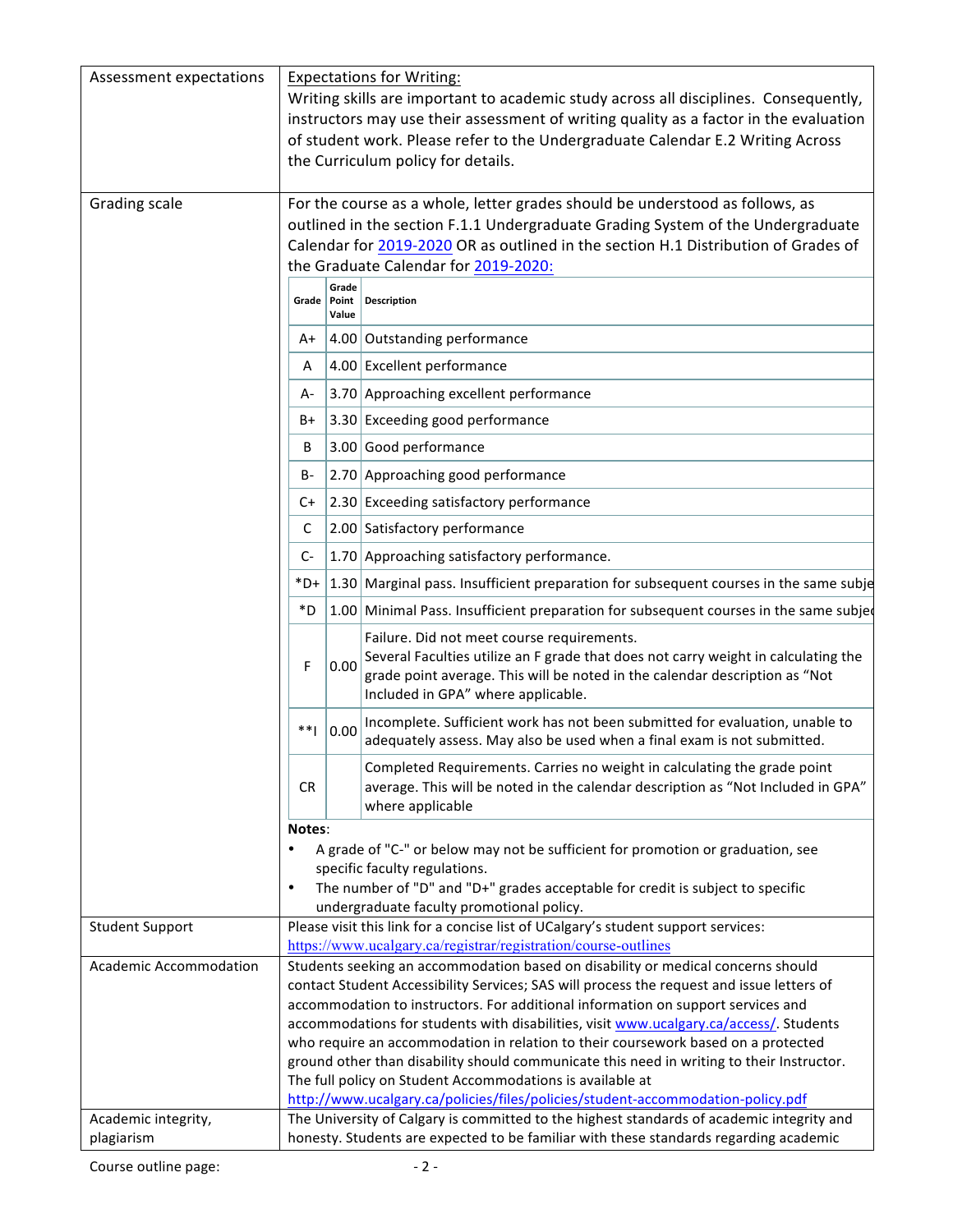| Assessment expectations           | <b>Expectations for Writing:</b><br>Writing skills are important to academic study across all disciplines. Consequently,<br>instructors may use their assessment of writing quality as a factor in the evaluation<br>of student work. Please refer to the Undergraduate Calendar E.2 Writing Across<br>the Curriculum policy for details.                                                                                                                                                                                                                                                                                                                                                     |       |                                                                                                                                                                                                                                                       |  |
|-----------------------------------|-----------------------------------------------------------------------------------------------------------------------------------------------------------------------------------------------------------------------------------------------------------------------------------------------------------------------------------------------------------------------------------------------------------------------------------------------------------------------------------------------------------------------------------------------------------------------------------------------------------------------------------------------------------------------------------------------|-------|-------------------------------------------------------------------------------------------------------------------------------------------------------------------------------------------------------------------------------------------------------|--|
| Grading scale                     | For the course as a whole, letter grades should be understood as follows, as<br>outlined in the section F.1.1 Undergraduate Grading System of the Undergraduate<br>Calendar for 2019-2020 OR as outlined in the section H.1 Distribution of Grades of<br>the Graduate Calendar for 2019-2020:                                                                                                                                                                                                                                                                                                                                                                                                 |       |                                                                                                                                                                                                                                                       |  |
|                                   |                                                                                                                                                                                                                                                                                                                                                                                                                                                                                                                                                                                                                                                                                               | Grade |                                                                                                                                                                                                                                                       |  |
|                                   |                                                                                                                                                                                                                                                                                                                                                                                                                                                                                                                                                                                                                                                                                               | Value | Grade   Point   Description                                                                                                                                                                                                                           |  |
|                                   | A+                                                                                                                                                                                                                                                                                                                                                                                                                                                                                                                                                                                                                                                                                            |       | 4.00 Outstanding performance                                                                                                                                                                                                                          |  |
|                                   | A                                                                                                                                                                                                                                                                                                                                                                                                                                                                                                                                                                                                                                                                                             |       | 4.00 Excellent performance                                                                                                                                                                                                                            |  |
|                                   | A-                                                                                                                                                                                                                                                                                                                                                                                                                                                                                                                                                                                                                                                                                            |       | 3.70 Approaching excellent performance                                                                                                                                                                                                                |  |
|                                   | B+                                                                                                                                                                                                                                                                                                                                                                                                                                                                                                                                                                                                                                                                                            |       | 3.30 Exceeding good performance                                                                                                                                                                                                                       |  |
|                                   | В                                                                                                                                                                                                                                                                                                                                                                                                                                                                                                                                                                                                                                                                                             |       | 3.00 Good performance                                                                                                                                                                                                                                 |  |
|                                   | B-                                                                                                                                                                                                                                                                                                                                                                                                                                                                                                                                                                                                                                                                                            |       | 2.70 Approaching good performance                                                                                                                                                                                                                     |  |
|                                   | C+                                                                                                                                                                                                                                                                                                                                                                                                                                                                                                                                                                                                                                                                                            |       | 2.30 Exceeding satisfactory performance                                                                                                                                                                                                               |  |
|                                   | С                                                                                                                                                                                                                                                                                                                                                                                                                                                                                                                                                                                                                                                                                             |       | 2.00 Satisfactory performance                                                                                                                                                                                                                         |  |
|                                   | $C-$                                                                                                                                                                                                                                                                                                                                                                                                                                                                                                                                                                                                                                                                                          |       | 1.70 Approaching satisfactory performance.                                                                                                                                                                                                            |  |
|                                   | $*D+$                                                                                                                                                                                                                                                                                                                                                                                                                                                                                                                                                                                                                                                                                         |       | 1.30 Marginal pass. Insufficient preparation for subsequent courses in the same subje                                                                                                                                                                 |  |
|                                   | *D                                                                                                                                                                                                                                                                                                                                                                                                                                                                                                                                                                                                                                                                                            |       | 1.00 Minimal Pass. Insufficient preparation for subsequent courses in the same subjed                                                                                                                                                                 |  |
|                                   | F                                                                                                                                                                                                                                                                                                                                                                                                                                                                                                                                                                                                                                                                                             | 0.00  | Failure. Did not meet course requirements.<br>Several Faculties utilize an F grade that does not carry weight in calculating the<br>grade point average. This will be noted in the calendar description as "Not<br>Included in GPA" where applicable. |  |
|                                   | **                                                                                                                                                                                                                                                                                                                                                                                                                                                                                                                                                                                                                                                                                            | 0.00  | Incomplete. Sufficient work has not been submitted for evaluation, unable to<br>adequately assess. May also be used when a final exam is not submitted.                                                                                               |  |
|                                   | <b>CR</b>                                                                                                                                                                                                                                                                                                                                                                                                                                                                                                                                                                                                                                                                                     |       | Completed Requirements. Carries no weight in calculating the grade point<br>average. This will be noted in the calendar description as "Not Included in GPA"<br>where applicable                                                                      |  |
|                                   | Notes:                                                                                                                                                                                                                                                                                                                                                                                                                                                                                                                                                                                                                                                                                        |       |                                                                                                                                                                                                                                                       |  |
|                                   | $\bullet$                                                                                                                                                                                                                                                                                                                                                                                                                                                                                                                                                                                                                                                                                     |       | A grade of "C-" or below may not be sufficient for promotion or graduation, see<br>specific faculty regulations.<br>The number of "D" and "D+" grades acceptable for credit is subject to specific<br>undergraduate faculty promotional policy.       |  |
| <b>Student Support</b>            |                                                                                                                                                                                                                                                                                                                                                                                                                                                                                                                                                                                                                                                                                               |       | Please visit this link for a concise list of UCalgary's student support services:                                                                                                                                                                     |  |
|                                   |                                                                                                                                                                                                                                                                                                                                                                                                                                                                                                                                                                                                                                                                                               |       | https://www.ucalgary.ca/registrar/registration/course-outlines                                                                                                                                                                                        |  |
| Academic Accommodation            | Students seeking an accommodation based on disability or medical concerns should<br>contact Student Accessibility Services; SAS will process the request and issue letters of<br>accommodation to instructors. For additional information on support services and<br>accommodations for students with disabilities, visit www.ucalgary.ca/access/. Students<br>who require an accommodation in relation to their coursework based on a protected<br>ground other than disability should communicate this need in writing to their Instructor.<br>The full policy on Student Accommodations is available at<br>http://www.ucalgary.ca/policies/files/policies/student-accommodation-policy.pdf |       |                                                                                                                                                                                                                                                       |  |
| Academic integrity,<br>plagiarism | The University of Calgary is committed to the highest standards of academic integrity and<br>honesty. Students are expected to be familiar with these standards regarding academic                                                                                                                                                                                                                                                                                                                                                                                                                                                                                                            |       |                                                                                                                                                                                                                                                       |  |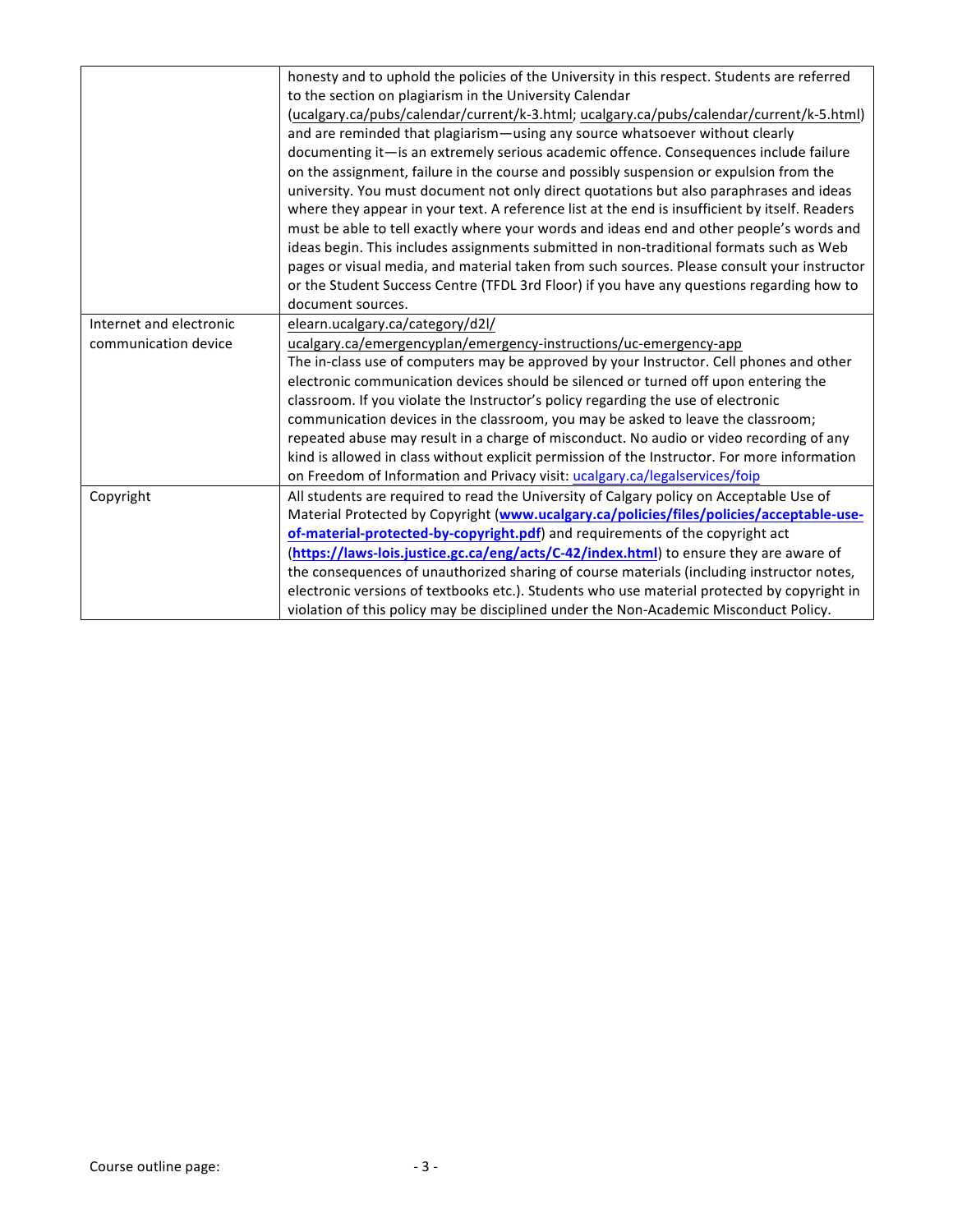|                         | honesty and to uphold the policies of the University in this respect. Students are referred    |
|-------------------------|------------------------------------------------------------------------------------------------|
|                         | to the section on plagiarism in the University Calendar                                        |
|                         | (ucalgary.ca/pubs/calendar/current/k-3.html; ucalgary.ca/pubs/calendar/current/k-5.html)       |
|                         | and are reminded that plagiarism-using any source whatsoever without clearly                   |
|                         | documenting it-is an extremely serious academic offence. Consequences include failure          |
|                         | on the assignment, failure in the course and possibly suspension or expulsion from the         |
|                         | university. You must document not only direct quotations but also paraphrases and ideas        |
|                         | where they appear in your text. A reference list at the end is insufficient by itself. Readers |
|                         | must be able to tell exactly where your words and ideas end and other people's words and       |
|                         | ideas begin. This includes assignments submitted in non-traditional formats such as Web        |
|                         | pages or visual media, and material taken from such sources. Please consult your instructor    |
|                         | or the Student Success Centre (TFDL 3rd Floor) if you have any questions regarding how to      |
|                         | document sources.                                                                              |
| Internet and electronic | elearn.ucalgary.ca/category/d2l/                                                               |
| communication device    | ucalgary.ca/emergencyplan/emergency-instructions/uc-emergency-app                              |
|                         | The in-class use of computers may be approved by your Instructor. Cell phones and other        |
|                         | electronic communication devices should be silenced or turned off upon entering the            |
|                         | classroom. If you violate the Instructor's policy regarding the use of electronic              |
|                         | communication devices in the classroom, you may be asked to leave the classroom;               |
|                         | repeated abuse may result in a charge of misconduct. No audio or video recording of any        |
|                         | kind is allowed in class without explicit permission of the Instructor. For more information   |
|                         | on Freedom of Information and Privacy visit: ucalgary.ca/legalservices/foip                    |
| Copyright               | All students are required to read the University of Calgary policy on Acceptable Use of        |
|                         | Material Protected by Copyright (www.ucalgary.ca/policies/files/policies/acceptable-use-       |
|                         | of-material-protected-by-copyright.pdf) and requirements of the copyright act                  |
|                         | (https://laws-lois.justice.gc.ca/eng/acts/C-42/index.html) to ensure they are aware of         |
|                         | the consequences of unauthorized sharing of course materials (including instructor notes,      |
|                         | electronic versions of textbooks etc.). Students who use material protected by copyright in    |
|                         | violation of this policy may be disciplined under the Non-Academic Misconduct Policy.          |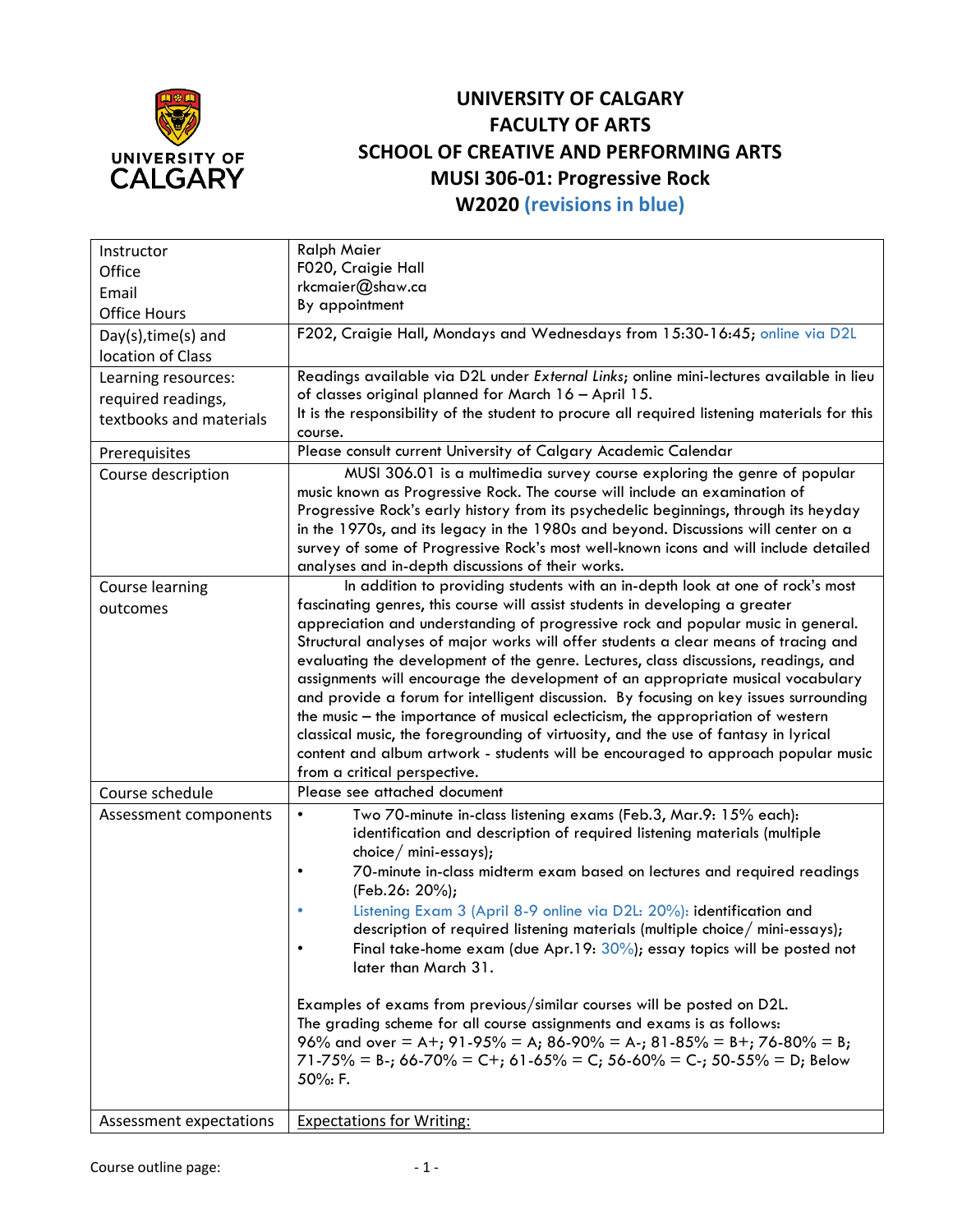

## **UNIVERSITY OF CALGARY FACULTY OF ARTS SCHOOL OF CREATIVE AND PERFORMING ARTS MUSI 306-01: Progressive Rock W2020 (revisions in blue)**

| Instructor              | <b>Ralph Maier</b>                                                                                                                                                       |
|-------------------------|--------------------------------------------------------------------------------------------------------------------------------------------------------------------------|
| Office                  | F020, Craigie Hall                                                                                                                                                       |
| Email                   | rkcmaier@shaw.ca                                                                                                                                                         |
| <b>Office Hours</b>     | By appointment                                                                                                                                                           |
| $Day(s)$ , time(s) and  | F202, Craigie Hall, Mondays and Wednesdays from 15:30-16:45; online via D2L                                                                                              |
| location of Class       |                                                                                                                                                                          |
| Learning resources:     | Readings available via D2L under External Links; online mini-lectures available in lieu                                                                                  |
|                         | of classes original planned for March 16 - April 15.                                                                                                                     |
| required readings,      | It is the responsibility of the student to procure all required listening materials for this                                                                             |
| textbooks and materials | course.                                                                                                                                                                  |
| Prerequisites           | Please consult current University of Calgary Academic Calendar                                                                                                           |
| Course description      | MUSI 306.01 is a multimedia survey course exploring the genre of popular                                                                                                 |
|                         | music known as Progressive Rock. The course will include an examination of                                                                                               |
|                         | Progressive Rock's early history from its psychedelic beginnings, through its heyday                                                                                     |
|                         | in the 1970s, and its legacy in the 1980s and beyond. Discussions will center on a                                                                                       |
|                         | survey of some of Progressive Rock's most well-known icons and will include detailed                                                                                     |
|                         | analyses and in-depth discussions of their works.                                                                                                                        |
| Course learning         | In addition to providing students with an in-depth look at one of rock's most                                                                                            |
| outcomes                | fascinating genres, this course will assist students in developing a greater                                                                                             |
|                         | appreciation and understanding of progressive rock and popular music in general.                                                                                         |
|                         | Structural analyses of major works will offer students a clear means of tracing and                                                                                      |
|                         | evaluating the development of the genre. Lectures, class discussions, readings, and                                                                                      |
|                         | assignments will encourage the development of an appropriate musical vocabulary                                                                                          |
|                         | and provide a forum for intelligent discussion. By focusing on key issues surrounding                                                                                    |
|                         | the music - the importance of musical eclecticism, the appropriation of western                                                                                          |
|                         | classical music, the foregrounding of virtuosity, and the use of fantasy in lyrical<br>content and album artwork - students will be encouraged to approach popular music |
|                         | from a critical perspective.                                                                                                                                             |
| Course schedule         | Please see attached document                                                                                                                                             |
|                         | $\bullet$                                                                                                                                                                |
| Assessment components   | Two 70-minute in-class listening exams (Feb.3, Mar.9: 15% each):<br>identification and description of required listening materials (multiple                             |
|                         | choice/ mini-essays);                                                                                                                                                    |
|                         | 70-minute in-class midterm exam based on lectures and required readings<br>$\bullet$                                                                                     |
|                         | (Feb.26: 20%);                                                                                                                                                           |
|                         | Listening Exam 3 (April 8-9 online via D2L: 20%): identification and                                                                                                     |
|                         | description of required listening materials (multiple choice/ mini-essays);                                                                                              |
|                         | Final take-home exam (due Apr. 19: $30\%$ ); essay topics will be posted not                                                                                             |
|                         | later than March 31.                                                                                                                                                     |
|                         |                                                                                                                                                                          |
|                         | Examples of exams from previous/similar courses will be posted on D2L.                                                                                                   |
|                         | The grading scheme for all course assignments and exams is as follows:                                                                                                   |
|                         | 96% and over = A+; 91-95% = A; 86-90% = A-; 81-85% = B+; 76-80% = B;                                                                                                     |
|                         | $71-75\%$ = B-; 66-70% = C+; 61-65% = C; 56-60% = C-; 50-55% = D; Below                                                                                                  |
|                         | 50%: F.                                                                                                                                                                  |
|                         |                                                                                                                                                                          |
| Assessment expectations | <b>Expectations for Writing:</b>                                                                                                                                         |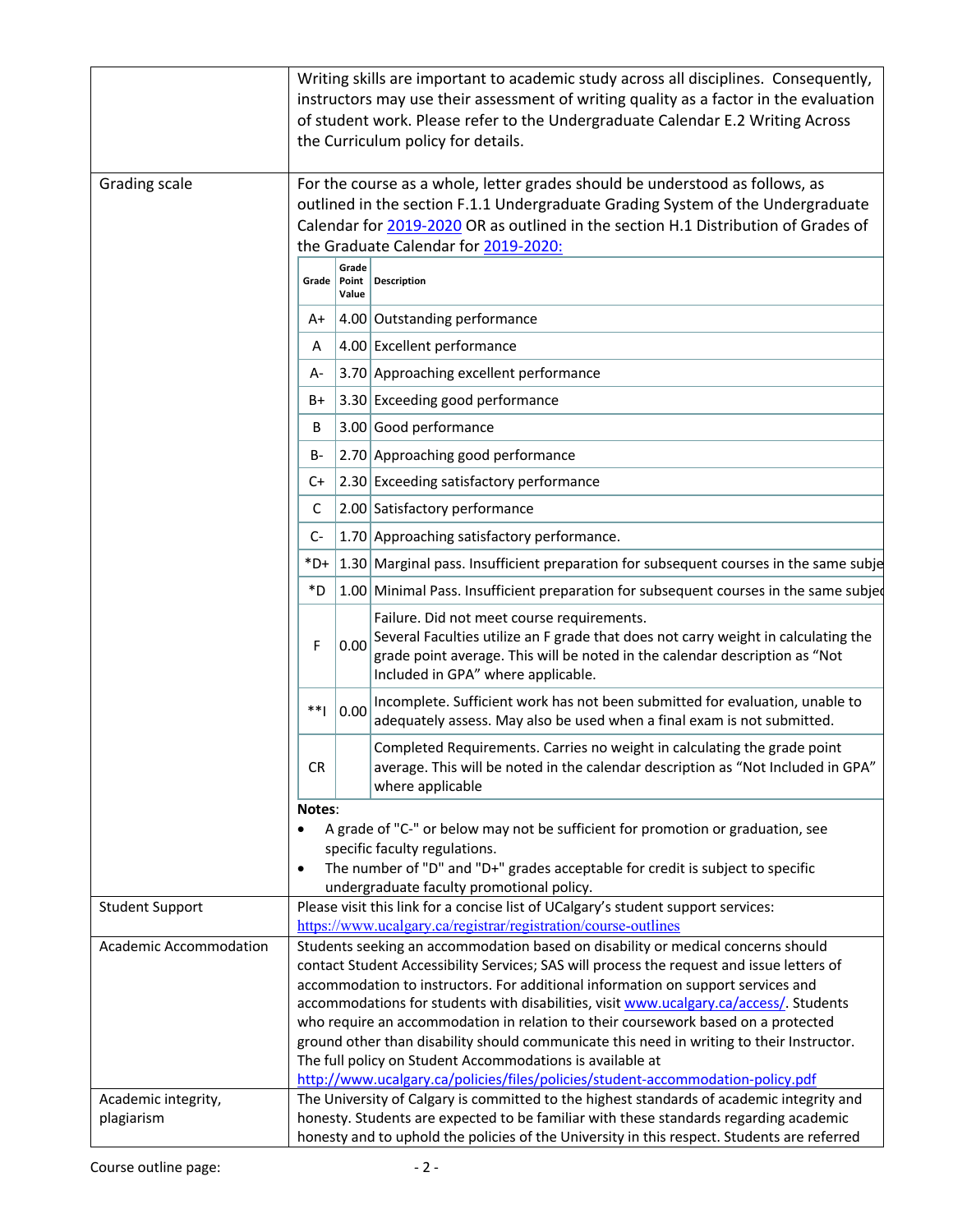|                               | Writing skills are important to academic study across all disciplines. Consequently,<br>instructors may use their assessment of writing quality as a factor in the evaluation<br>of student work. Please refer to the Undergraduate Calendar E.2 Writing Across<br>the Curriculum policy for details.                                                                                                                                                                                                        |                |                                                                                                                                                                                                                                                       |
|-------------------------------|--------------------------------------------------------------------------------------------------------------------------------------------------------------------------------------------------------------------------------------------------------------------------------------------------------------------------------------------------------------------------------------------------------------------------------------------------------------------------------------------------------------|----------------|-------------------------------------------------------------------------------------------------------------------------------------------------------------------------------------------------------------------------------------------------------|
| Grading scale                 | For the course as a whole, letter grades should be understood as follows, as<br>outlined in the section F.1.1 Undergraduate Grading System of the Undergraduate<br>Calendar for 2019-2020 OR as outlined in the section H.1 Distribution of Grades of<br>the Graduate Calendar for 2019-2020:                                                                                                                                                                                                                |                |                                                                                                                                                                                                                                                       |
|                               |                                                                                                                                                                                                                                                                                                                                                                                                                                                                                                              | Grade<br>Value | Grade   Point   Description                                                                                                                                                                                                                           |
|                               | A+                                                                                                                                                                                                                                                                                                                                                                                                                                                                                                           |                | 4.00 Outstanding performance                                                                                                                                                                                                                          |
|                               | A                                                                                                                                                                                                                                                                                                                                                                                                                                                                                                            |                | 4.00 Excellent performance                                                                                                                                                                                                                            |
|                               | A-                                                                                                                                                                                                                                                                                                                                                                                                                                                                                                           |                | 3.70 Approaching excellent performance                                                                                                                                                                                                                |
|                               | B+                                                                                                                                                                                                                                                                                                                                                                                                                                                                                                           |                | 3.30 Exceeding good performance                                                                                                                                                                                                                       |
|                               | B                                                                                                                                                                                                                                                                                                                                                                                                                                                                                                            |                | 3.00 Good performance                                                                                                                                                                                                                                 |
|                               | B-                                                                                                                                                                                                                                                                                                                                                                                                                                                                                                           |                | 2.70 Approaching good performance                                                                                                                                                                                                                     |
|                               | C+                                                                                                                                                                                                                                                                                                                                                                                                                                                                                                           |                | 2.30 Exceeding satisfactory performance                                                                                                                                                                                                               |
|                               | C                                                                                                                                                                                                                                                                                                                                                                                                                                                                                                            |                | 2.00 Satisfactory performance                                                                                                                                                                                                                         |
|                               | C-                                                                                                                                                                                                                                                                                                                                                                                                                                                                                                           |                | 1.70 Approaching satisfactory performance.                                                                                                                                                                                                            |
|                               | *D+                                                                                                                                                                                                                                                                                                                                                                                                                                                                                                          |                | 1.30 Marginal pass. Insufficient preparation for subsequent courses in the same subje                                                                                                                                                                 |
|                               | *D                                                                                                                                                                                                                                                                                                                                                                                                                                                                                                           |                | 1.00 Minimal Pass. Insufficient preparation for subsequent courses in the same subjed                                                                                                                                                                 |
|                               | F                                                                                                                                                                                                                                                                                                                                                                                                                                                                                                            | 0.00           | Failure. Did not meet course requirements.<br>Several Faculties utilize an F grade that does not carry weight in calculating the<br>grade point average. This will be noted in the calendar description as "Not<br>Included in GPA" where applicable. |
|                               | **                                                                                                                                                                                                                                                                                                                                                                                                                                                                                                           | 0.00           | Incomplete. Sufficient work has not been submitted for evaluation, unable to<br>adequately assess. May also be used when a final exam is not submitted.                                                                                               |
|                               | CR.                                                                                                                                                                                                                                                                                                                                                                                                                                                                                                          |                | Completed Requirements. Carries no weight in calculating the grade point<br>average. This will be noted in the calendar description as "Not Included in GPA"<br>where applicable                                                                      |
|                               | Notes:<br>$\bullet$                                                                                                                                                                                                                                                                                                                                                                                                                                                                                          |                | A grade of "C-" or below may not be sufficient for promotion or graduation, see<br>specific faculty regulations.<br>The number of "D" and "D+" grades acceptable for credit is subject to specific<br>undergraduate faculty promotional policy.       |
| <b>Student Support</b>        |                                                                                                                                                                                                                                                                                                                                                                                                                                                                                                              |                | Please visit this link for a concise list of UCalgary's student support services:                                                                                                                                                                     |
| <b>Academic Accommodation</b> | https://www.ucalgary.ca/registrar/registration/course-outlines<br>Students seeking an accommodation based on disability or medical concerns should<br>contact Student Accessibility Services; SAS will process the request and issue letters of                                                                                                                                                                                                                                                              |                |                                                                                                                                                                                                                                                       |
|                               | accommodation to instructors. For additional information on support services and<br>accommodations for students with disabilities, visit www.ucalgary.ca/access/. Students<br>who require an accommodation in relation to their coursework based on a protected<br>ground other than disability should communicate this need in writing to their Instructor.<br>The full policy on Student Accommodations is available at<br>http://www.ucalgary.ca/policies/files/policies/student-accommodation-policy.pdf |                |                                                                                                                                                                                                                                                       |
| Academic integrity,           |                                                                                                                                                                                                                                                                                                                                                                                                                                                                                                              |                | The University of Calgary is committed to the highest standards of academic integrity and                                                                                                                                                             |
| plagiarism                    |                                                                                                                                                                                                                                                                                                                                                                                                                                                                                                              |                | honesty. Students are expected to be familiar with these standards regarding academic<br>honesty and to uphold the policies of the University in this respect. Students are referred                                                                  |